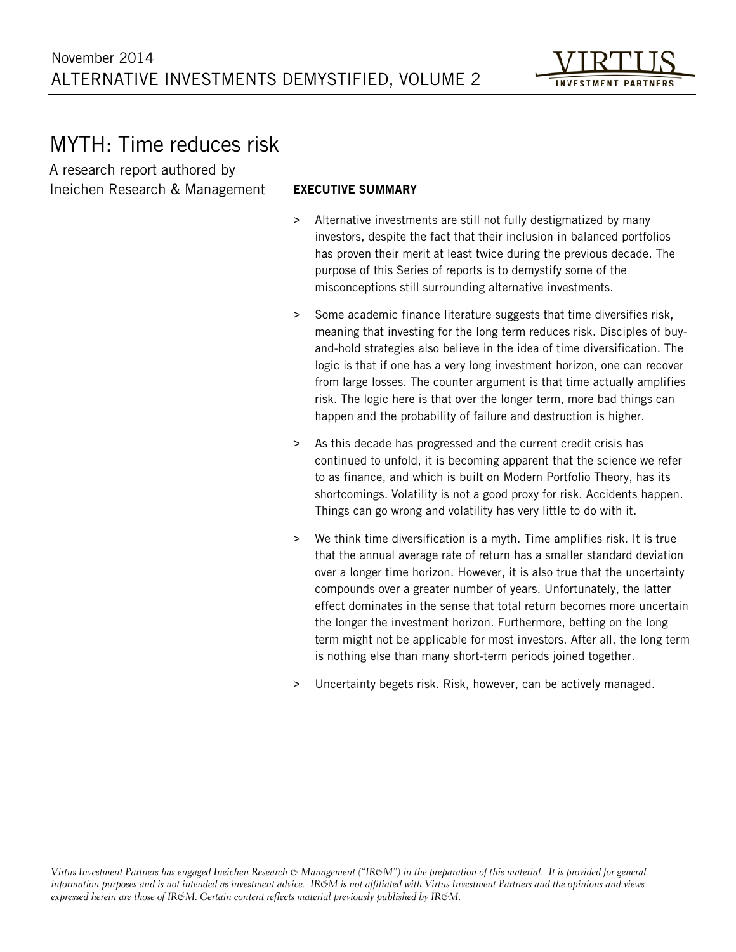

# MYTH: Time reduces risk

A research report authored by Ineichen Research & Management

## EXECUTIVE SUMMARY

- > Alternative investments are still not fully destigmatized by many investors, despite the fact that their inclusion in balanced portfolios has proven their merit at least twice during the previous decade. The purpose of this Series of reports is to demystify some of the misconceptions still surrounding alternative investments.
- > Some academic finance literature suggests that time diversifies risk, meaning that investing for the long term reduces risk. Disciples of buyand-hold strategies also believe in the idea of time diversification. The logic is that if one has a very long investment horizon, one can recover from large losses. The counter argument is that time actually amplifies risk. The logic here is that over the longer term, more bad things can happen and the probability of failure and destruction is higher.
- > As this decade has progressed and the current credit crisis has continued to unfold, it is becoming apparent that the science we refer to as finance, and which is built on Modern Portfolio Theory, has its shortcomings. Volatility is not a good proxy for risk. Accidents happen. Things can go wrong and volatility has very little to do with it.
- > We think time diversification is a myth. Time amplifies risk. It is true that the annual average rate of return has a smaller standard deviation over a longer time horizon. However, it is also true that the uncertainty compounds over a greater number of years. Unfortunately, the latter effect dominates in the sense that total return becomes more uncertain the longer the investment horizon. Furthermore, betting on the long term might not be applicable for most investors. After all, the long term is nothing else than many short-term periods joined together.
- Uncertainty begets risk. Risk, however, can be actively managed.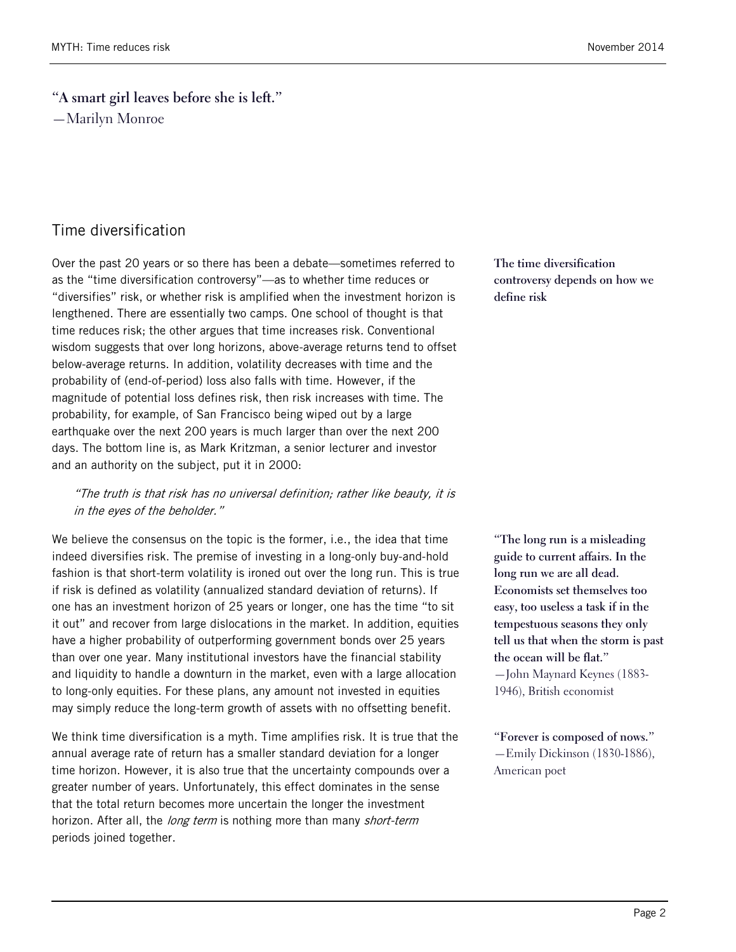**"A smart girl leaves before she is left."** —Marilyn Monroe

## Time diversification

Over the past 20 years or so there has been a debate—sometimes referred to as the "time diversification controversy"—as to whether time reduces or "diversifies" risk, or whether risk is amplified when the investment horizon is lengthened. There are essentially two camps. One school of thought is that time reduces risk; the other argues that time increases risk. Conventional wisdom suggests that over long horizons, above-average returns tend to offset below-average returns. In addition, volatility decreases with time and the probability of (end-of-period) loss also falls with time. However, if the magnitude of potential loss defines risk, then risk increases with time. The probability, for example, of San Francisco being wiped out by a large earthquake over the next 200 years is much larger than over the next 200 days. The bottom line is, as Mark Kritzman, a senior lecturer and investor and an authority on the subject, put it in 2000:

### "The truth is that risk has no universal definition; rather like beauty, it is in the eyes of the beholder."

We believe the consensus on the topic is the former, i.e., the idea that time indeed diversifies risk. The premise of investing in a long-only buy-and-hold fashion is that short-term volatility is ironed out over the long run. This is true if risk is defined as volatility (annualized standard deviation of returns). If one has an investment horizon of 25 years or longer, one has the time "to sit it out" and recover from large dislocations in the market. In addition, equities have a higher probability of outperforming government bonds over 25 years than over one year. Many institutional investors have the financial stability and liquidity to handle a downturn in the market, even with a large allocation to long-only equities. For these plans, any amount not invested in equities may simply reduce the long-term growth of assets with no offsetting benefit.

We think time diversification is a myth. Time amplifies risk. It is true that the annual average rate of return has a smaller standard deviation for a longer time horizon. However, it is also true that the uncertainty compounds over a greater number of years. Unfortunately, this effect dominates in the sense that the total return becomes more uncertain the longer the investment horizon. After all, the *long term* is nothing more than many *short-term* periods joined together.

**The time diversification controversy depends on how we define risk**

**"The long run is a misleading guide to current affairs. In the long run we are all dead. Economists set themselves too easy, too useless a task if in the tempestuous seasons they only tell us that when the storm is past the ocean will be flat."** —John Maynard Keynes (1883- 1946), British economist

**"Forever is composed of nows."** —Emily Dickinson (1830-1886), American poet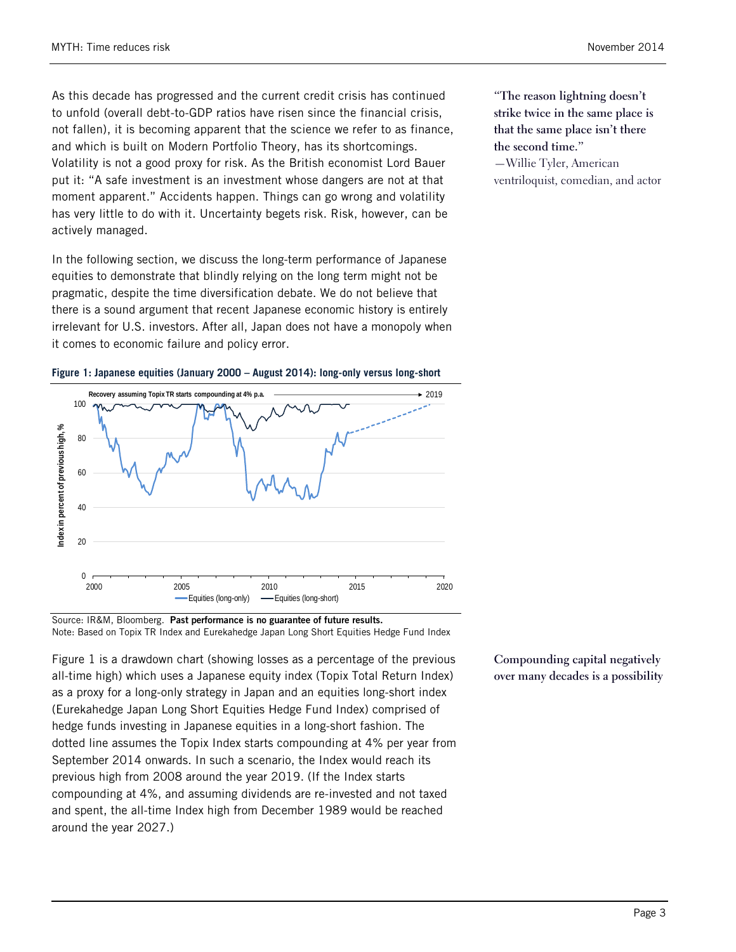As this decade has progressed and the current credit crisis has continued to unfold (overall debt-to-GDP ratios have risen since the financial crisis, not fallen), it is becoming apparent that the science we refer to as finance, and which is built on Modern Portfolio Theory, has its shortcomings. Volatility is not a good proxy for risk. As the British economist Lord Bauer put it: "A safe investment is an investment whose dangers are not at that moment apparent." Accidents happen. Things can go wrong and volatility has very little to do with it. Uncertainty begets risk. Risk, however, can be actively managed.

In the following section, we discuss the long-term performance of Japanese equities to demonstrate that blindly relying on the long term might not be pragmatic, despite the time diversification debate. We do not believe that there is a sound argument that recent Japanese economic history is entirely irrelevant for U.S. investors. After all, Japan does not have a monopoly when it comes to economic failure and policy error.



#### <span id="page-2-0"></span>**Figure 1: Japanese equities (January 2000 – August 2014): long-only versus long-short**

Source: IR&M, Bloomberg. Past performance is no guarantee of future results. Note: Based on Topix TR Index and Eurekahedge Japan Long Short Equities Hedge Fund Index

[Figure 1](#page-2-0) is a drawdown chart (showing losses as a percentage of the previous all-time high) which uses a Japanese equity index (Topix Total Return Index) as a proxy for a long-only strategy in Japan and an equities long-short index (Eurekahedge Japan Long Short Equities Hedge Fund Index) comprised of hedge funds investing in Japanese equities in a long-short fashion. The dotted line assumes the Topix Index starts compounding at 4% per year from September 2014 onwards. In such a scenario, the Index would reach its previous high from 2008 around the year 2019. (If the Index starts compounding at 4%, and assuming dividends are re-invested and not taxed and spent, the all-time Index high from December 1989 would be reached around the year 2027.)

**"The reason lightning doesn't strike twice in the same place is that the same place isn't there the second time."**

—Willie Tyler, American ventriloquist, comedian, and actor

**Compounding capital negatively over many decades is a possibility**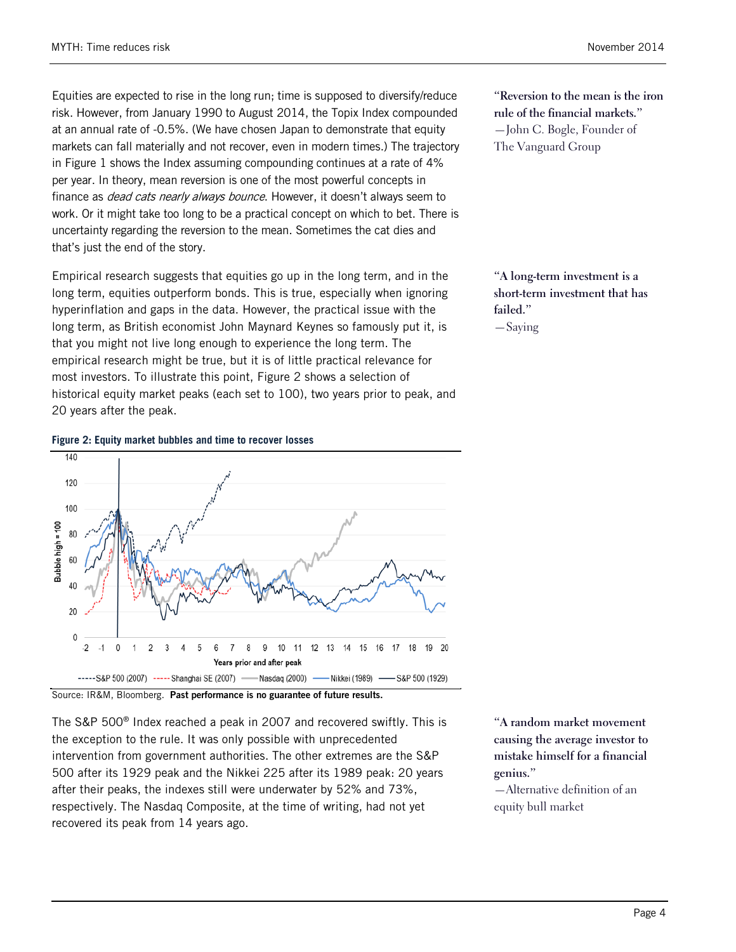Equities are expected to rise in the long run; time is supposed to diversify/reduce risk. However, from January 1990 to August 2014, the Topix Index compounded at an annual rate of -0.5%. (We have chosen Japan to demonstrate that equity markets can fall materially and not recover, even in modern times.) The trajectory in [Figure 1](#page-2-0) shows the Index assuming compounding continues at a rate of 4% per year. In theory, mean reversion is one of the most powerful concepts in finance as *dead cats nearly always bounce*. However, it doesn't always seem to work. Or it might take too long to be a practical concept on which to bet. There is uncertainty regarding the reversion to the mean. Sometimes the cat dies and that's just the end of the story.

Empirical research suggests that equities go up in the long term, and in the long term, equities outperform bonds. This is true, especially when ignoring hyperinflation and gaps in the data. However, the practical issue with the long term, as British economist John Maynard Keynes so famously put it, is that you might not live long enough to experience the long term. The empirical research might be true, but it is of little practical relevance for most investors. To illustrate this point, Figure 2 shows a selection of historical equity market peaks (each set to 100), two years prior to peak, and 20 years after the peak.

#### **Figure 2: Equity market bubbles and time to recover losses**



The S&P 500® Index reached a peak in 2007 and recovered swiftly. This is the exception to the rule. It was only possible with unprecedented intervention from government authorities. The other extremes are the S&P 500 after its 1929 peak and the Nikkei 225 after its 1989 peak: 20 years after their peaks, the indexes still were underwater by 52% and 73%, respectively. The Nasdaq Composite, at the time of writing, had not yet recovered its peak from 14 years ago.

**"A random market movement causing the average investor to mistake himself for a financial genius."**

—Alternative definition of an equity bull market

**"Reversion to the mean is the iron rule of the financial markets."** —John C. Bogle, Founder of The Vanguard Group

**"A long-term investment is a short-term investment that has failed."**

—Saying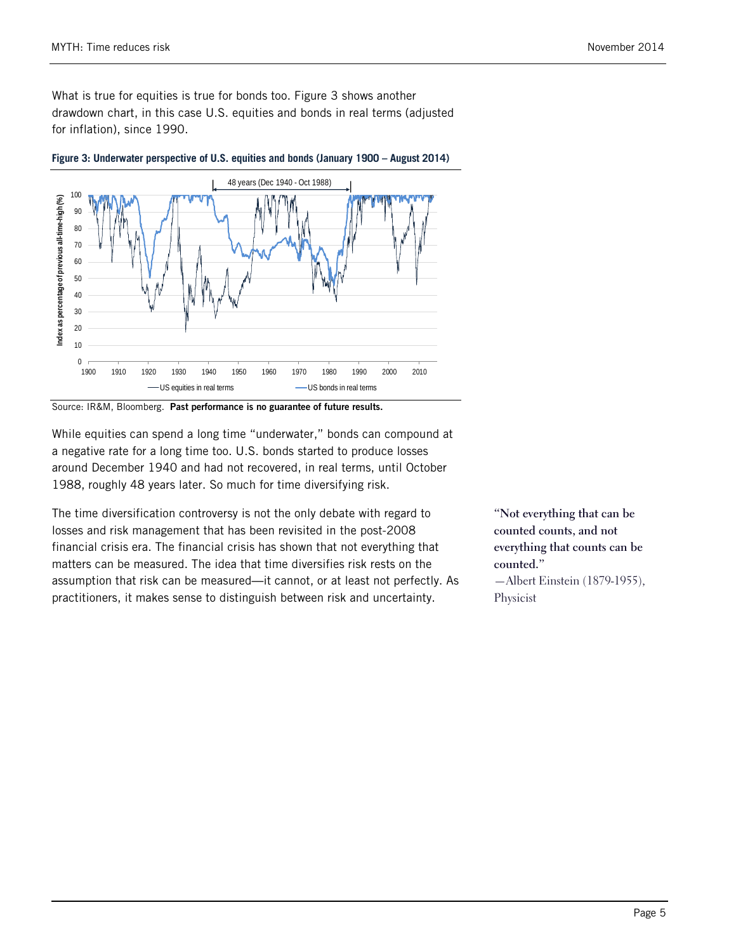What is true for equities is true for bonds too. [Figure 3](#page-4-0) shows another drawdown chart, in this case U.S. equities and bonds in real terms (adjusted for inflation), since 1990.



<span id="page-4-0"></span>**Figure 3: Underwater perspective of U.S. equities and bonds (January 1900 – August 2014)**

Source: IR&M, Bloomberg. Past performance is no guarantee of future results.

While equities can spend a long time "underwater," bonds can compound at a negative rate for a long time too. U.S. bonds started to produce losses around December 1940 and had not recovered, in real terms, until October 1988, roughly 48 years later. So much for time diversifying risk.

The time diversification controversy is not the only debate with regard to losses and risk management that has been revisited in the post-2008 financial crisis era. The financial crisis has shown that not everything that matters can be measured. The idea that time diversifies risk rests on the assumption that risk can be measured—it cannot, or at least not perfectly. As practitioners, it makes sense to distinguish between risk and uncertainty.

**"Not everything that can be counted counts, and not everything that counts can be counted."** —Albert Einstein (1879-1955), Physicist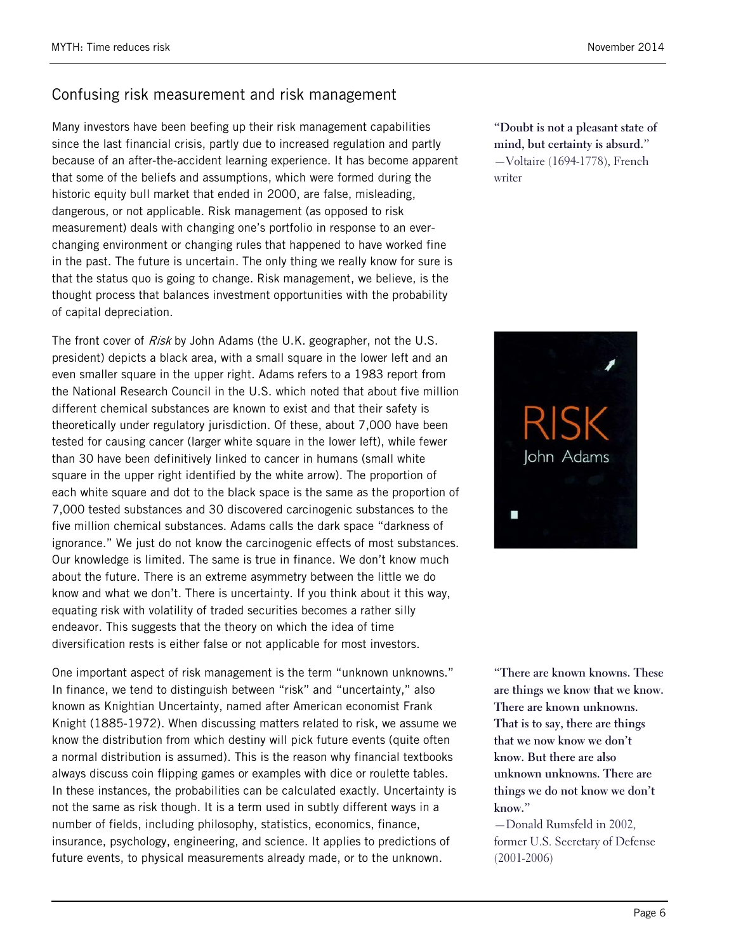# Confusing risk measurement and risk management

Many investors have been beefing up their risk management capabilities since the last financial crisis, partly due to increased regulation and partly because of an after-the-accident learning experience. It has become apparent that some of the beliefs and assumptions, which were formed during the historic equity bull market that ended in 2000, are false, misleading, dangerous, or not applicable. Risk management (as opposed to risk measurement) deals with changing one's portfolio in response to an everchanging environment or changing rules that happened to have worked fine in the past. The future is uncertain. The only thing we really know for sure is that the status quo is going to change. Risk management, we believe, is the thought process that balances investment opportunities with the probability of capital depreciation.

The front cover of Risk by John Adams (the U.K. geographer, not the U.S. president) depicts a black area, with a small square in the lower left and an even smaller square in the upper right. Adams refers to a 1983 report from the National Research Council in the U.S. which noted that about five million different chemical substances are known to exist and that their safety is theoretically under regulatory jurisdiction. Of these, about 7,000 have been tested for causing cancer (larger white square in the lower left), while fewer than 30 have been definitively linked to cancer in humans (small white square in the upper right identified by the white arrow). The proportion of each white square and dot to the black space is the same as the proportion of 7,000 tested substances and 30 discovered carcinogenic substances to the five million chemical substances. Adams calls the dark space "darkness of ignorance." We just do not know the carcinogenic effects of most substances. Our knowledge is limited. The same is true in finance. We don't know much about the future. There is an extreme asymmetry between the little we do know and what we don't. There is uncertainty. If you think about it this way, equating risk with volatility of traded securities becomes a rather silly endeavor. This suggests that the theory on which the idea of time diversification rests is either false or not applicable for most investors.

One important aspect of risk management is the term "unknown unknowns." In finance, we tend to distinguish between "risk" and "uncertainty," also known as Knightian Uncertainty, named after American economist Frank Knight (1885-1972). When discussing matters related to risk, we assume we know the distribution from which destiny will pick future events (quite often a normal distribution is assumed). This is the reason why financial textbooks always discuss coin flipping games or examples with dice or roulette tables. In these instances, the probabilities can be calculated exactly. Uncertainty is not the same as risk though. It is a term used in subtly different ways in a number of fields, including philosophy, statistics, economics, finance, insurance, psychology, engineering, and science. It applies to predictions of future events, to physical measurements already made, or to the unknown.

**"Doubt is not a pleasant state of mind, but certainty is absurd."** —Voltaire (1694-1778), French writer



**"There are known knowns. These are things we know that we know. There are known unknowns. That is to say, there are things that we now know we don't know. But there are also unknown unknowns. There are things we do not know we don't know."**

—Donald Rumsfeld in 2002, former U.S. Secretary of Defense (2001-2006)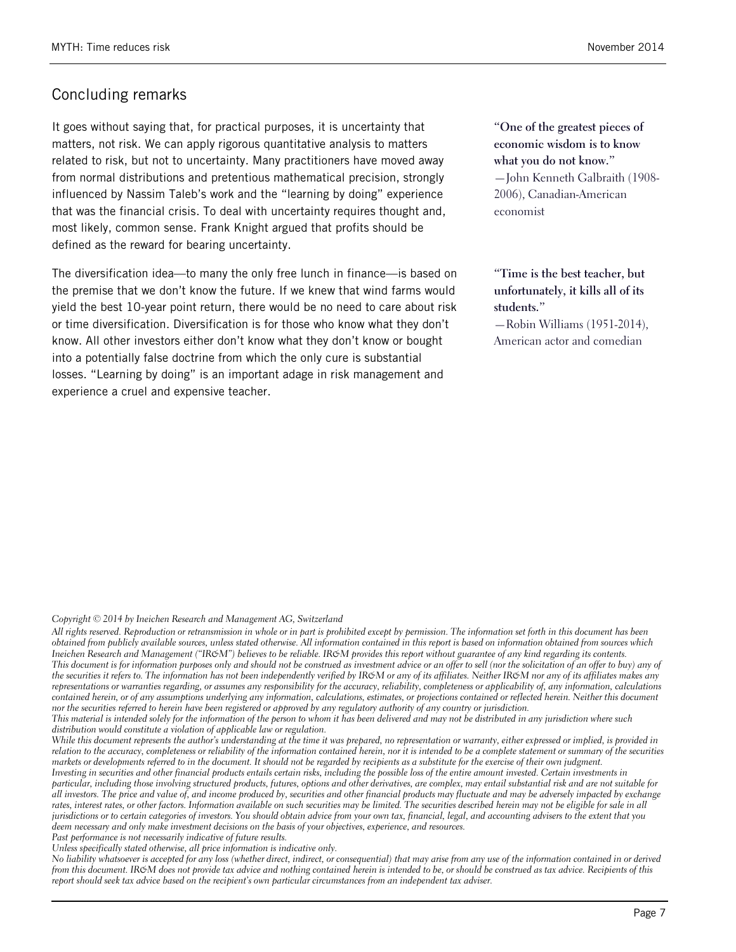# Concluding remarks

It goes without saying that, for practical purposes, it is uncertainty that matters, not risk. We can apply rigorous quantitative analysis to matters related to risk, but not to uncertainty. Many practitioners have moved away from normal distributions and pretentious mathematical precision, strongly influenced by Nassim Taleb's work and the "learning by doing" experience that was the financial crisis. To deal with uncertainty requires thought and, most likely, common sense. Frank Knight argued that profits should be defined as the reward for bearing uncertainty.

The diversification idea—to many the only free lunch in finance—is based on the premise that we don't know the future. If we knew that wind farms would yield the best 10-year point return, there would be no need to care about risk or time diversification. Diversification is for those who know what they don't know. All other investors either don't know what they don't know or bought into a potentially false doctrine from which the only cure is substantial losses. "Learning by doing" is an important adage in risk management and experience a cruel and expensive teacher.

**"One of the greatest pieces of economic wisdom is to know what you do not know."** —John Kenneth Galbraith (1908- 2006), Canadian-American economist

**"Time is the best teacher, but unfortunately, it kills all of its students."** —Robin Williams (1951-2014), American actor and comedian

#### *Copyright © 2014 by Ineichen Research and Management AG, Switzerland*

*All rights reserved. Reproduction or retransmission in whole or in part is prohibited except by permission. The information set forth in this document has been obtained from publicly available sources, unless stated otherwise. All information contained in this report is based on information obtained from sources which Ineichen Research and Management ("IR&M") believes to be reliable. IR&M provides this report without guarantee of any kind regarding its contents. This document is for information purposes only and should not be construed as investment advice or an offer to sell (nor the solicitation of an offer to buy) any of*  the securities it refers to. The information has not been independently verified by IR&M or any of its affiliates. Neither IR&M nor any of its affiliates makes any *representations or warranties regarding, or assumes any responsibility for the accuracy, reliability, completeness or applicability of, any information, calculations contained herein, or of any assumptions underlying any information, calculations, estimates, or projections contained or reflected herein. Neither this document nor the securities referred to herein have been registered or approved by any regulatory authority of any country or jurisdiction.*

*This material is intended solely for the information of the person to whom it has been delivered and may not be distributed in any jurisdiction where such distribution would constitute a violation of applicable law or regulation.*

While this document represents the author's understanding at the time it was prepared, no representation or warranty, either expressed or implied, is provided in *relation to the accuracy, completeness or reliability of the information contained herein, nor it is intended to be a complete statement or summary of the securities markets or developments referred to in the document. It should not be regarded by recipients as a substitute for the exercise of their own judgment.*

*Investing in securities and other financial products entails certain risks, including the possible loss of the entire amount invested. Certain investments in particular, including those involving structured products, futures, options and other derivatives, are complex, may entail substantial risk and are not suitable for all investors. The price and value of, and income produced by, securities and other financial products may fluctuate and may be adversely impacted by exchange rates, interest rates, or other factors. Information available on such securities may be limited. The securities described herein may not be eligible for sale in all jurisdictions or to certain categories of investors. You should obtain advice from your own tax, financial, legal, and accounting advisers to the extent that you deem necessary and only make investment decisions on the basis of your objectives, experience, and resources.* 

*Past performance is not necessarily indicative of future results.*

*Unless specifically stated otherwise, all price information is indicative only.*

*No liability whatsoever is accepted for any loss (whether direct, indirect, or consequential) that may arise from any use of the information contained in or derived from this document. IR&M does not provide tax advice and nothing contained herein is intended to be, or should be construed as tax advice. Recipients of this report should seek tax advice based on the recipient's own particular circumstances from an independent tax adviser.*